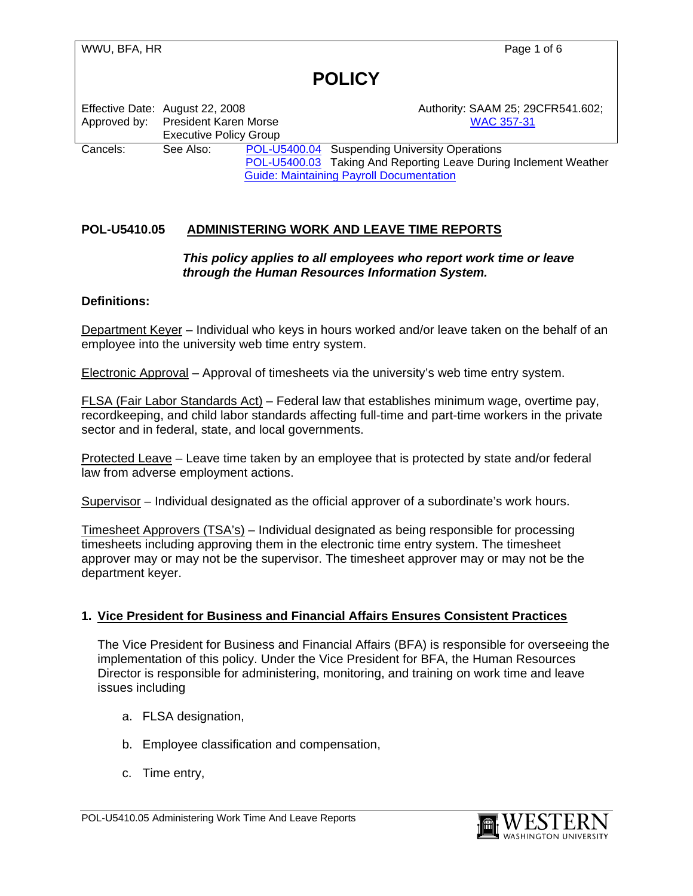|          | Effective Date: August 22, 2008<br>Approved by: President Karen Morse<br><b>Executive Policy Group</b> |  | Authority: SAAM 25; 29CFR541.602;<br><b>WAC 357-31</b>           |
|----------|--------------------------------------------------------------------------------------------------------|--|------------------------------------------------------------------|
| Cancels: | See Also:                                                                                              |  | POL-U5400.04 Suspending University Operations                    |
|          |                                                                                                        |  | POL-U5400.03 Taking And Reporting Leave During Inclement Weather |
|          |                                                                                                        |  | <b>Guide: Maintaining Payroll Documentation</b>                  |

### **POL-U5410.05 ADMINISTERING WORK AND LEAVE TIME REPORTS**

### *This policy applies to all employees who report work time or leave through the Human Resources Information System.*

### **Definitions:**

Department Keyer – Individual who keys in hours worked and/or leave taken on the behalf of an employee into the university web time entry system.

Electronic Approval – Approval of timesheets via the university's web time entry system.

FLSA (Fair Labor Standards Act) – Federal law that establishes minimum wage, overtime pay, recordkeeping, and child labor standards affecting full-time and part-time workers in the private sector and in federal, state, and local governments.

Protected Leave – Leave time taken by an employee that is protected by state and/or federal law from adverse employment actions.

Supervisor – Individual designated as the official approver of a subordinate's work hours.

Timesheet Approvers (TSA's) – Individual designated as being responsible for processing timesheets including approving them in the electronic time entry system. The timesheet approver may or may not be the supervisor. The timesheet approver may or may not be the department keyer.

### **1. Vice President for Business and Financial Affairs Ensures Consistent Practices**

The Vice President for Business and Financial Affairs (BFA) is responsible for overseeing the implementation of this policy. Under the Vice President for BFA, the Human Resources Director is responsible for administering, monitoring, and training on work time and leave issues including

- a. FLSA designation,
- b. Employee classification and compensation,
- c. Time entry,

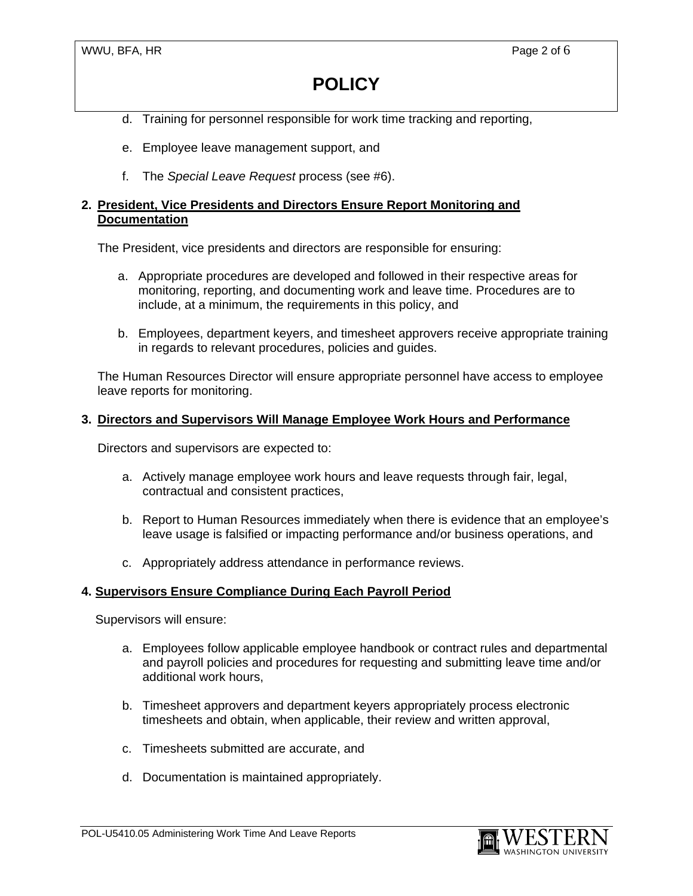- d. Training for personnel responsible for work time tracking and reporting,
- e. Employee leave management support, and
- f. The *Special Leave Request* process (see #6).

### **2. President, Vice Presidents and Directors Ensure Report Monitoring and Documentation**

The President, vice presidents and directors are responsible for ensuring:

- a. Appropriate procedures are developed and followed in their respective areas for monitoring, reporting, and documenting work and leave time. Procedures are to include, at a minimum, the requirements in this policy, and
- b. Employees, department keyers, and timesheet approvers receive appropriate training in regards to relevant procedures, policies and guides.

The Human Resources Director will ensure appropriate personnel have access to employee leave reports for monitoring.

### **3. Directors and Supervisors Will Manage Employee Work Hours and Performance**

Directors and supervisors are expected to:

- a. Actively manage employee work hours and leave requests through fair, legal, contractual and consistent practices,
- b. Report to Human Resources immediately when there is evidence that an employee's leave usage is falsified or impacting performance and/or business operations, and
- c. Appropriately address attendance in performance reviews.

### **4. Supervisors Ensure Compliance During Each Payroll Period**

Supervisors will ensure:

- a. Employees follow applicable employee handbook or contract rules and departmental and payroll policies and procedures for requesting and submitting leave time and/or additional work hours,
- b. Timesheet approvers and department keyers appropriately process electronic timesheets and obtain, when applicable, their review and written approval,
- c. Timesheets submitted are accurate, and
- d. Documentation is maintained appropriately.

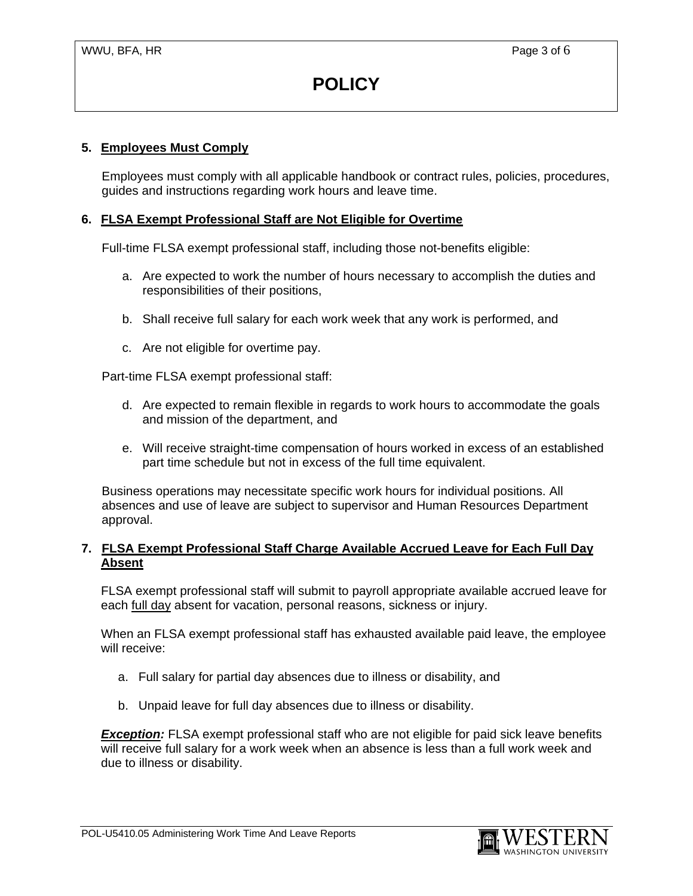### **5. Employees Must Comply**

Employees must comply with all applicable handbook or contract rules, policies, procedures, guides and instructions regarding work hours and leave time.

### **6. FLSA Exempt Professional Staff are Not Eligible for Overtime**

Full-time FLSA exempt professional staff, including those not-benefits eligible:

- a. Are expected to work the number of hours necessary to accomplish the duties and responsibilities of their positions,
- b. Shall receive full salary for each work week that any work is performed, and
- c. Are not eligible for overtime pay.

Part-time FLSA exempt professional staff:

- d. Are expected to remain flexible in regards to work hours to accommodate the goals and mission of the department, and
- e. Will receive straight-time compensation of hours worked in excess of an established part time schedule but not in excess of the full time equivalent.

Business operations may necessitate specific work hours for individual positions. All absences and use of leave are subject to supervisor and Human Resources Department approval.

### **7. FLSA Exempt Professional Staff Charge Available Accrued Leave for Each Full Day Absent**

 FLSA exempt professional staff will submit to payroll appropriate available accrued leave for each full day absent for vacation, personal reasons, sickness or injury.

 When an FLSA exempt professional staff has exhausted available paid leave, the employee will receive:

- a. Full salary for partial day absences due to illness or disability, and
- b. Unpaid leave for full day absences due to illness or disability.

**Exception:** FLSA exempt professional staff who are not eligible for paid sick leave benefits will receive full salary for a work week when an absence is less than a full work week and due to illness or disability.

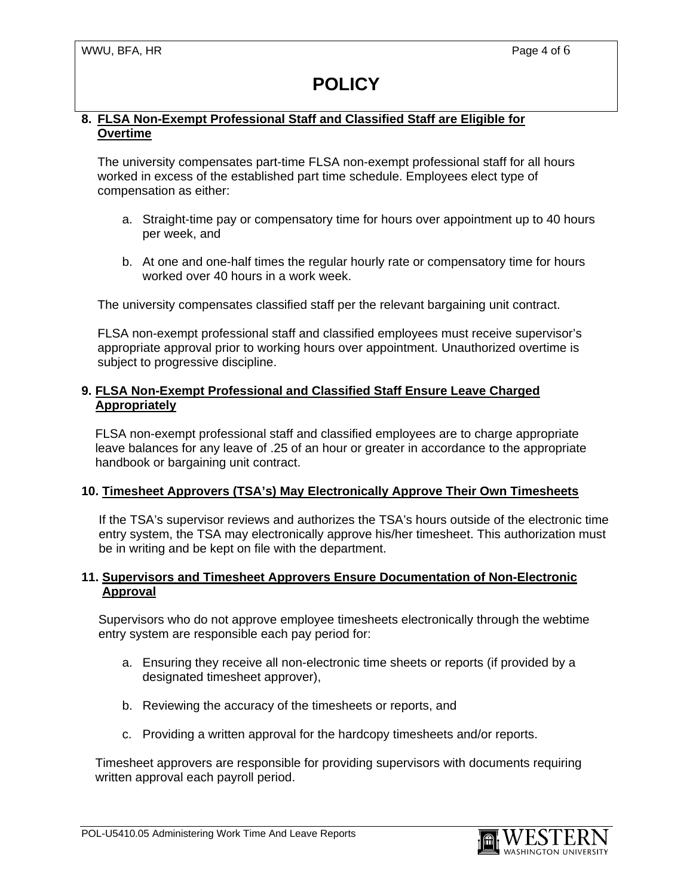### **8. FLSA Non-Exempt Professional Staff and Classified Staff are Eligible for Overtime**

The university compensates part-time FLSA non-exempt professional staff for all hours worked in excess of the established part time schedule. Employees elect type of compensation as either:

- a. Straight-time pay or compensatory time for hours over appointment up to 40 hours per week, and
- b. At one and one-half times the regular hourly rate or compensatory time for hours worked over 40 hours in a work week.

The university compensates classified staff per the relevant bargaining unit contract.

FLSA non-exempt professional staff and classified employees must receive supervisor's appropriate approval prior to working hours over appointment. Unauthorized overtime is subject to progressive discipline.

### **9. FLSA Non-Exempt Professional and Classified Staff Ensure Leave Charged Appropriately**

 FLSA non-exempt professional staff and classified employees are to charge appropriate leave balances for any leave of .25 of an hour or greater in accordance to the appropriate handbook or bargaining unit contract.

### **10. Timesheet Approvers (TSA's) May Electronically Approve Their Own Timesheets**

 If the TSA's supervisor reviews and authorizes the TSA's hours outside of the electronic time entry system, the TSA may electronically approve his/her timesheet. This authorization must be in writing and be kept on file with the department.

### **11. Supervisors and Timesheet Approvers Ensure Documentation of Non-Electronic Approval**

Supervisors who do not approve employee timesheets electronically through the webtime entry system are responsible each pay period for:

- a. Ensuring they receive all non-electronic time sheets or reports (if provided by a designated timesheet approver),
- b. Reviewing the accuracy of the timesheets or reports, and
- c. Providing a written approval for the hardcopy timesheets and/or reports.

 Timesheet approvers are responsible for providing supervisors with documents requiring written approval each payroll period.

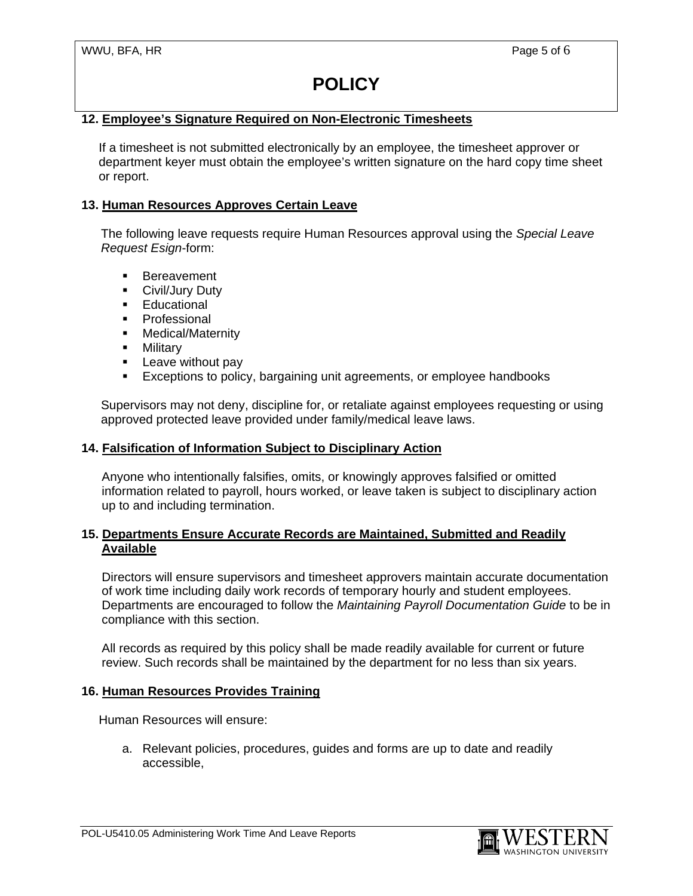### **12. Employee's Signature Required on Non-Electronic Timesheets**

 If a timesheet is not submitted electronically by an employee, the timesheet approver or department keyer must obtain the employee's written signature on the hard copy time sheet or report.

### **13. Human Resources Approves Certain Leave**

 The following leave requests require Human Resources approval using the *Special Leave Request Esign*-form:

- **Bereavement**
- Civil/Jury Duty
- **Educational**
- **Professional**
- **-** Medical/Maternity
- **-** Military
- **Leave without pay**
- Exceptions to policy, bargaining unit agreements, or employee handbooks

Supervisors may not deny, discipline for, or retaliate against employees requesting or using approved protected leave provided under family/medical leave laws.

### **14. Falsification of Information Subject to Disciplinary Action**

Anyone who intentionally falsifies, omits, or knowingly approves falsified or omitted information related to payroll, hours worked, or leave taken is subject to disciplinary action up to and including termination.

### **15. Departments Ensure Accurate Records are Maintained, Submitted and Readily Available**

Directors will ensure supervisors and timesheet approvers maintain accurate documentation of work time including daily work records of temporary hourly and student employees. Departments are encouraged to follow the *Maintaining Payroll Documentation Guide* to be in compliance with this section.

All records as required by this policy shall be made readily available for current or future review. Such records shall be maintained by the department for no less than six years.

#### **16. Human Resources Provides Training**

Human Resources will ensure:

a. Relevant policies, procedures, guides and forms are up to date and readily accessible,